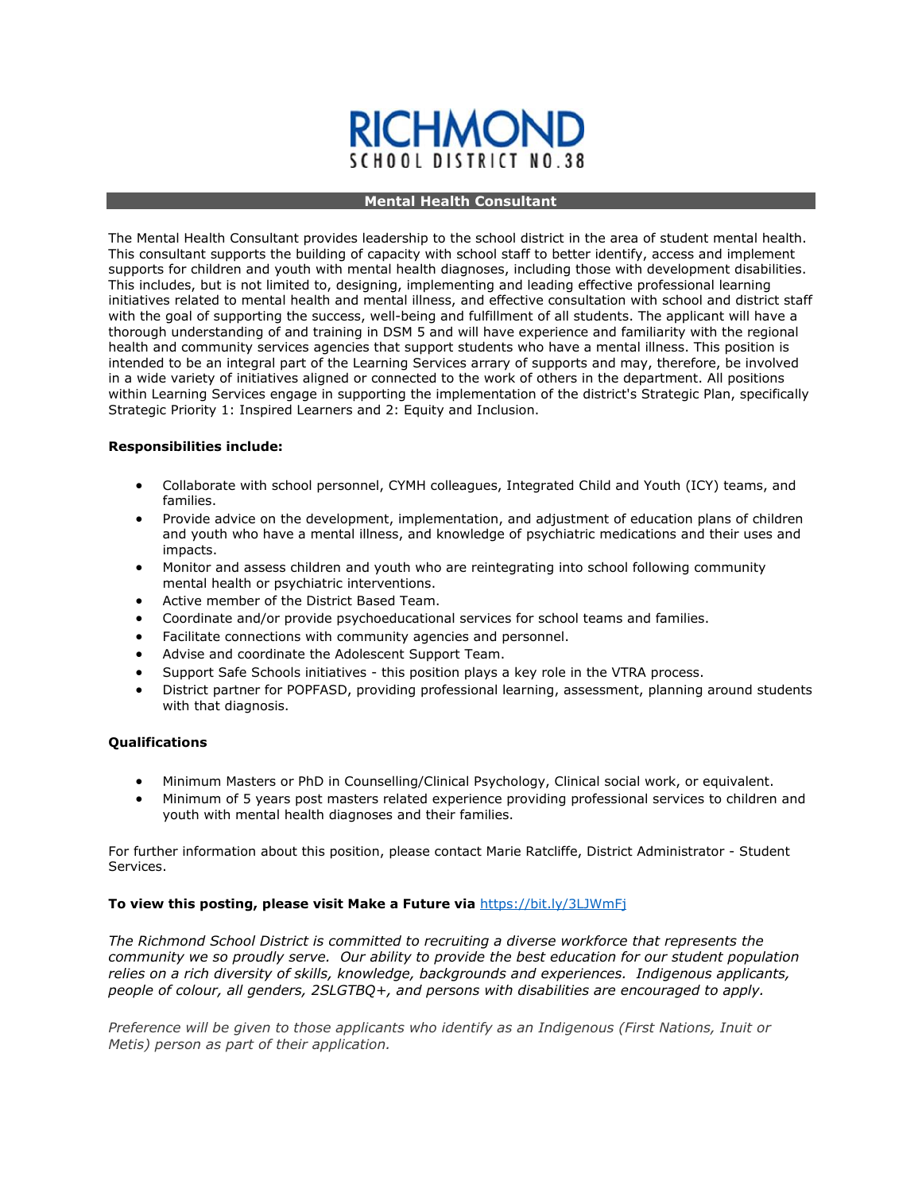# **RICHMON** SCHOOL DISTRICT NO

# **Mental Health Consultant**

The Mental Health Consultant provides leadership to the school district in the area of student mental health. This consultant supports the building of capacity with school staff to better identify, access and implement supports for children and youth with mental health diagnoses, including those with development disabilities. This includes, but is not limited to, designing, implementing and leading effective professional learning initiatives related to mental health and mental illness, and effective consultation with school and district staff with the goal of supporting the success, well-being and fulfillment of all students. The applicant will have a thorough understanding of and training in DSM 5 and will have experience and familiarity with the regional health and community services agencies that support students who have a mental illness. This position is intended to be an integral part of the Learning Services arrary of supports and may, therefore, be involved in a wide variety of initiatives aligned or connected to the work of others in the department. All positions within Learning Services engage in supporting the implementation of the district's Strategic Plan, specifically Strategic Priority 1: Inspired Learners and 2: Equity and Inclusion.

# **Responsibilities include:**

- Collaborate with school personnel, CYMH colleagues, Integrated Child and Youth (ICY) teams, and families.
- Provide advice on the development, implementation, and adjustment of education plans of children and youth who have a mental illness, and knowledge of psychiatric medications and their uses and impacts.
- Monitor and assess children and youth who are reintegrating into school following community mental health or psychiatric interventions.
- Active member of the District Based Team.
- Coordinate and/or provide psychoeducational services for school teams and families.
- Facilitate connections with community agencies and personnel.
- Advise and coordinate the Adolescent Support Team.
- Support Safe Schools initiatives this position plays a key role in the VTRA process.
- District partner for POPFASD, providing professional learning, assessment, planning around students with that diagnosis.

# **Qualifications**

- Minimum Masters or PhD in Counselling/Clinical Psychology, Clinical social work, or equivalent.
- Minimum of 5 years post masters related experience providing professional services to children and youth with mental health diagnoses and their families.

For further information about this position, please contact Marie Ratcliffe, District Administrator - Student Services.

# **To view this posting, please visit Make a Future via** <https://bit.ly/3LJWmFj>

*The Richmond School District is committed to recruiting a diverse workforce that represents the community we so proudly serve. Our ability to provide the best education for our student population relies on a rich diversity of skills, knowledge, backgrounds and experiences. Indigenous applicants, people of colour, all genders, 2SLGTBQ+, and persons with disabilities are encouraged to apply.*

*Preference will be given to those applicants who identify as an Indigenous (First Nations, Inuit or Metis) person as part of their application.*